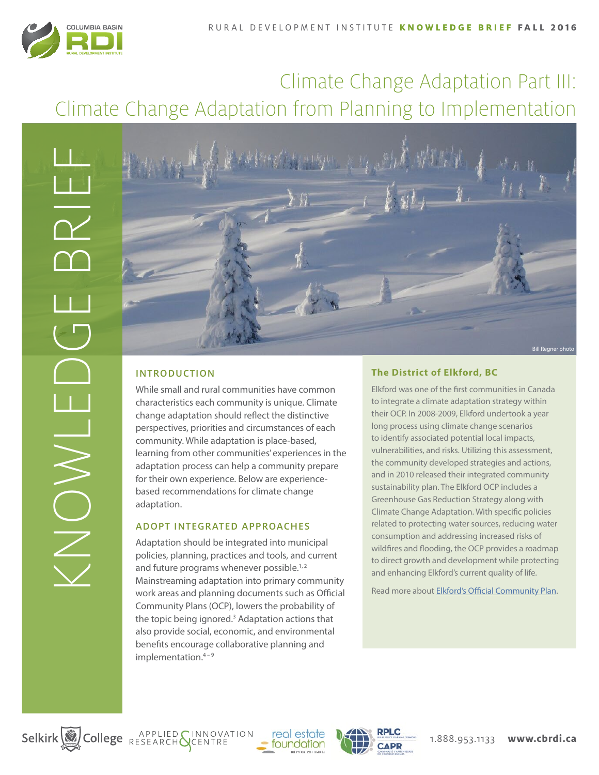

# Climate Change Adaptation Part III: Climate Change Adaptation from Planning to Implementation



# INTRODUCTION

While small and rural communities have common characteristics each community is unique. Climate change adaptation should reflect the distinctive perspectives, priorities and circumstances of each community. While adaptation is place-based, learning from other communities' experiences in the adaptation process can help a community prepare for their own experience. Below are experiencebased recommendations for climate change adaptation.

# ADOPT INTEGRATED APPROACHES

Adaptation should be integrated into municipal policies, planning, practices and tools, and current and future programs whenever possible.<sup>1,2</sup> Mainstreaming adaptation into primary community work areas and planning documents such as Official Community Plans (OCP), lowers the probability of the topic being ignored.<sup>3</sup> Adaptation actions that also provide social, economic, and environmental benefits encourage collaborative planning and implementation.<sup>4-9</sup>

# **The District of Elkford, BC**

Elkford was one of the first communities in Canada to integrate a climate adaptation strategy within their OCP. In 2008-2009, Elkford undertook a year long process using climate change scenarios to identify associated potential local impacts, vulnerabilities, and risks. Utilizing this assessment, the community developed strategies and actions, and in 2010 released their integrated community sustainability plan. The Elkford OCP includes a Greenhouse Gas Reduction Strategy along with Climate Change Adaptation. With specific policies related to protecting water sources, reducing water consumption and addressing increased risks of wildfires and flooding, the OCP provides a roadmap to direct growth and development while protecting and enhancing Elkford's current quality of life.

Read more about [Elkford's Official Community Plan.](http://www.elkford.ca/official_community_plan)

Selkirk College RESEARCH GENTRE



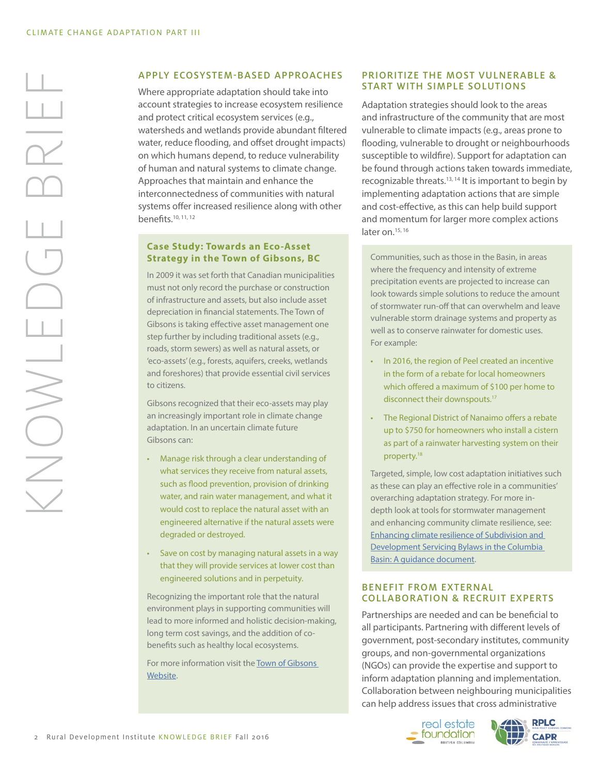# KNOWLEDGE BRIEF  $\frac{1}{2}$ HINON

#### APPLY ECOSYSTEM-BASED APPROACHES

Where appropriate adaptation should take into account strategies to increase ecosystem resilience and protect critical ecosystem services (e.g., watersheds and wetlands provide abundant filtered water, reduce flooding, and offset drought impacts) on which humans depend, to reduce vulnerability of human and natural systems to climate change. Approaches that maintain and enhance the interconnectedness of communities with natural systems offer increased resilience along with other benefits.10, 11, 12

#### **Case Study: Towards an Eco-Asset Strategy in the Town of Gibsons, BC**

In 2009 it was set forth that Canadian municipalities must not only record the purchase or construction of infrastructure and assets, but also include asset depreciation in financial statements. The Town of Gibsons is taking effective asset management one step further by including traditional assets (e.g., roads, storm sewers) as well as natural assets, or 'eco-assets' (e.g., forests, aquifers, creeks, wetlands and foreshores) that provide essential civil services to citizens.

Gibsons recognized that their eco-assets may play an increasingly important role in climate change adaptation. In an uncertain climate future Gibsons can:

- Manage risk through a clear understanding of what services they receive from natural assets, such as flood prevention, provision of drinking water, and rain water management, and what it would cost to replace the natural asset with an engineered alternative if the natural assets were degraded or destroyed.
- Save on cost by managing natural assets in a way that they will provide services at lower cost than engineered solutions and in perpetuity.

Recognizing the important role that the natural environment plays in supporting communities will lead to more informed and holistic decision-making, long term cost savings, and the addition of cobenefits such as healthy local ecosystems.

For more information visit the [Town of Gibsons](http://www.gibsons.ca/eco-assets)  [Website](http://www.gibsons.ca/eco-assets).

#### PRIORITIZE THE MOST VULNERABLE & START WITH SIMPLE SOLUTIONS

Adaptation strategies should look to the areas and infrastructure of the community that are most vulnerable to climate impacts (e.g., areas prone to flooding, vulnerable to drought or neighbourhoods susceptible to wildfire). Support for adaptation can be found through actions taken towards immediate, recognizable threats.<sup>13, 14</sup> It is important to begin by implementing adaptation actions that are simple and cost-effective, as this can help build support and momentum for larger more complex actions later on.<sup>15, 16</sup>

Communities, such as those in the Basin, in areas where the frequency and intensity of extreme precipitation events are projected to increase can look towards simple solutions to reduce the amount of stormwater run-off that can overwhelm and leave vulnerable storm drainage systems and property as well as to conserve rainwater for domestic uses. For example:

- In 2016, the region of Peel created an incentive in the form of a rebate for local homeowners which offered a maximum of \$100 per home to disconnect their downspouts.<sup>17</sup>
- The Regional District of Nanaimo offers a rebate up to \$750 for homeowners who install a cistern as part of a rainwater harvesting system on their property.18

Targeted, simple, low cost adaptation initiatives such as these can play an effective role in a communities' overarching adaptation strategy. For more indepth look at tools for stormwater management and enhancing community climate resilience, see: [Enhancing climate resilience of Subdivision and](http://ourtrust.org/wp-content/uploads/downloads/2013-5_Trust_SubdivisionandDevelopmentServicingBylaws_GuidanceDocument_Web.pdf)  [Development Servicing Bylaws in the Columbia](http://ourtrust.org/wp-content/uploads/downloads/2013-5_Trust_SubdivisionandDevelopmentServicingBylaws_GuidanceDocument_Web.pdf)  [Basin: A guidance document](http://ourtrust.org/wp-content/uploads/downloads/2013-5_Trust_SubdivisionandDevelopmentServicingBylaws_GuidanceDocument_Web.pdf).

#### BENEFIT FROM EXTERNAL COLLABORATION & RECRUIT EXPERTS

Partnerships are needed and can be beneficial to all participants. Partnering with different levels of government, post-secondary institutes, community groups, and non-governmental organizations (NGOs) can provide the expertise and support to inform adaptation planning and implementation. Collaboration between neighbouring municipalities can help address issues that cross administrative

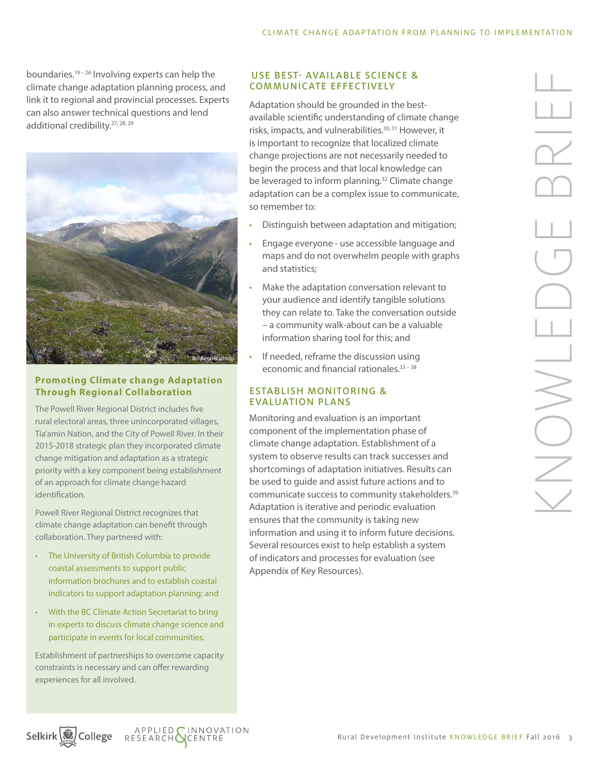boundaries.<sup>19-26</sup> Involving experts can help the climate change adaptation planning process, and link it to regional and provincial processes. Experts can also answer technical questions and lend additional credibility.27, 28, 29



# **Promoting Climate change Adaptation Through Regional Collaboration**

The Powell River Regional District includes five rural electoral areas, three unincorporated villages, Tia'amin Nation, and the City of Powell River. In their 2015-2018 strategic plan they incorporated climate change mitigation and adaptation as a strategic priority with a key component being establishment of an approach for climate change hazard identification.

Powell River Regional District recognizes that climate change adaptation can benefit through collaboration. They partnered with:

- The University of British Columbia to provide coastal assessments to support public information brochures and to establish coastal indicators to support adaptation planning; and
- With the BC Climate Action Secretariat to bring in experts to discuss climate change science and participate in events for local communities.

Establishment of partnerships to overcome capacity constraints is necessary and can offer rewarding experiences for all involved.

#### USE BEST- AVAILABLE SCIENCE & COMMUNICATE EFFECTIVELY

Adaptation should be grounded in the bestavailable scientific understanding of climate change risks, impacts, and vulnerabilities.<sup>30, 31</sup> However, it is important to recognize that localized climate change projections are not necessarily needed to begin the process and that local knowledge can be leveraged to inform planning.<sup>32</sup> Climate change adaptation can be a complex issue to communicate, so remember to:

- Distinguish between adaptation and mitigation;
- Engage everyone use accessible language and maps and do not overwhelm people with graphs and statistics;
- Make the adaptation conversation relevant to your audience and identify tangible solutions they can relate to. Take the conversation outside – a community walk-about can be a valuable information sharing tool for this; and
- If needed, reframe the discussion using economic and financial rationales.<sup>33-38</sup>

# ESTABLISH MONITORING & EVALUATION PLANS

Monitoring and evaluation is an important component of the implementation phase of climate change adaptation. Establishment of a system to observe results can track successes and shortcomings of adaptation initiatives. Results can be used to guide and assist future actions and to communicate success to community stakeholders.39 Adaptation is iterative and periodic evaluation ensures that the community is taking new information and using it to inform future decisions. Several resources exist to help establish a system of indicators and processes for evaluation (see Appendix of Key Resources).

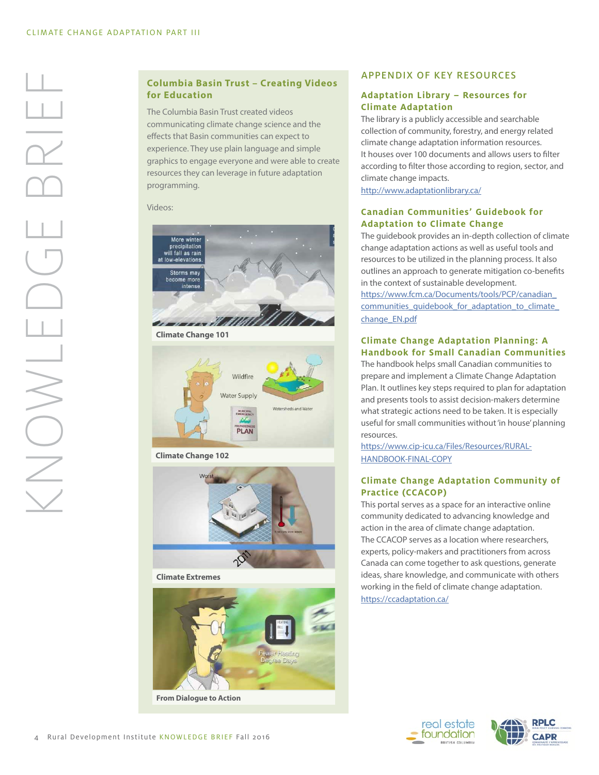# **Columbia Basin Trust – Creating Videos for Education**

The Columbia Basin Trust created videos communicating climate change science and the effects that Basin communities can expect to experience. They use plain language and simple graphics to engage everyone and were able to create resources they can leverage in future adaptation programming.

Videos:



**Climate Change 101**



**[Climate Change 102](https://www.youtube.com/watch?v=1YCTpMs1DO0&list=PLQCfSzYU1aNs_bVm7vZCZ2GtnrgLRxSAk&index=2)**



**[Climate](https://www.youtube.com/watch?v=1YCTpMs1DO0&list=PLQCfSzYU1aNs_bVm7vZCZ2GtnrgLRxSAk&index=2) Extremes**



# APPENDIX OF KEY RESOURCES

#### **Adaptation Library – Resources for Climate Adaptation**

The library is a publicly accessible and searchable collection of community, forestry, and energy related climate change adaptation information resources. It houses over 100 documents and allows users to filter according to filter those according to region, sector, and climate change impacts.

<http://www.adaptationlibrary.ca/>

#### **Canadian Communities' Guidebook for Adaptation to Climate Change**

The guidebook provides an in-depth collection of climate change adaptation actions as well as useful tools and resources to be utilized in the planning process. It also outlines an approach to generate mitigation co-benefits in the context of sustainable development. [https://www.fcm.ca/Documents/tools/PCP/canadian\\_](https://www.fcm.ca/Documents/tools/PCP/canadian_communities_guidebook_for_adaptation_to_climate_chan) communities\_quidebook\_for\_adaptation\_to\_climate\_ [change\\_EN.pdf](https://www.fcm.ca/Documents/tools/PCP/canadian_communities_guidebook_for_adaptation_to_climate_chan)

#### **Climate Change Adaptation Planning: A Handbook for Small Canadian Communities**

The handbook helps small Canadian communities to prepare and implement a Climate Change Adaptation Plan. It outlines key steps required to plan for adaptation and presents tools to assist decision-makers determine what strategic actions need to be taken. It is especially useful for small communities without 'in house' planning resources.

[https://www.cip-icu.ca/Files/Resources/RURAL-](https://www.cip-icu.ca/Files/Resources/RURAL-HANDBOOK-FINAL-COPY)[HANDBOOK-FINAL-COPY](https://www.cip-icu.ca/Files/Resources/RURAL-HANDBOOK-FINAL-COPY)

#### **Climate Change Adaptation Community of Practice (CCACOP)**

This portal serves as a space for an interactive online community dedicated to advancing knowledge and action in the area of climate change adaptation. The CCACOP serves as a location where researchers, experts, policy-makers and practitioners from across Canada can come together to ask questions, generate ideas, share knowledge, and communicate with others working in the field of climate change adaptation. <https://ccadaptation.ca/>

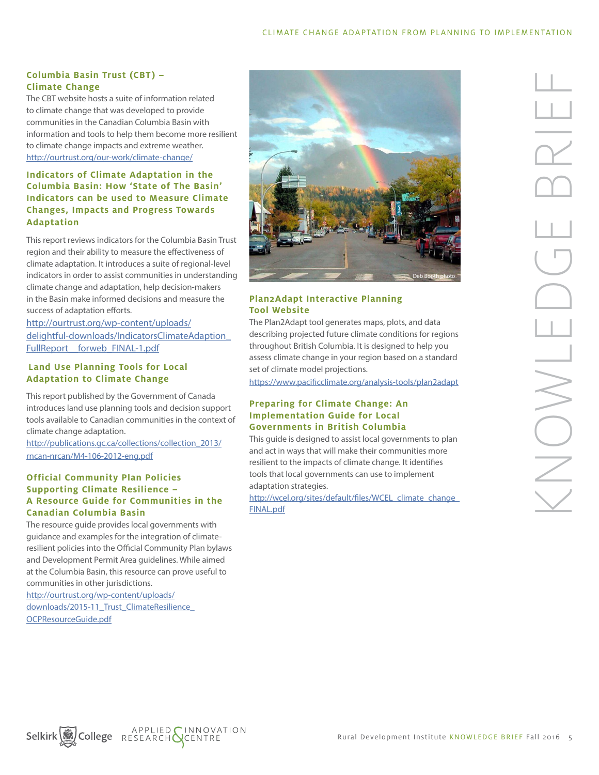# **Columbia Basin Trust (CBT) – Climate Change**

The CBT website hosts a suite of information related to climate change that was developed to provide communities in the Canadian Columbia Basin with information and tools to help them become more resilient to climate change impacts and extreme weather. <http://ourtrust.org/our-work/climate-change/>

# **Indicators of Climate Adaptation in the Columbia Basin: How 'State of The Basin' Indicators can be used to Measure Climate Changes, Impacts and Progress Towards Adaptation**

This report reviews indicators for the Columbia Basin Trust region and their ability to measure the effectiveness of climate adaptation. It introduces a suite of regional-level indicators in order to assist communities in understanding climate change and adaptation, help decision-makers in the Basin make informed decisions and measure the success of adaptation efforts.

[http://ourtrust.org/wp-content/uploads/](http://ourtrust.org/wp-content/uploads/delightful-downloads/IndicatorsClimateAdaption_FullReport__fo) [delightful-downloads/IndicatorsClimateAdaption\\_](http://ourtrust.org/wp-content/uploads/delightful-downloads/IndicatorsClimateAdaption_FullReport__fo) FullReport forweb FINAL-1.pdf

#### **Land Use Planning Tools for Local Adaptation to Climate Change**

This report published by the Government of Canada introduces land use planning tools and decision support tools available to Canadian communities in the context of climate change adaptation.

[http://publications.gc.ca/collections/collection\\_2013/](http://publications.gc.ca/collections/collection_2013/rncan-nrcan/M4-106-2012-eng.pdf) [rncan-nrcan/M4-106-2012-eng.pdf](http://publications.gc.ca/collections/collection_2013/rncan-nrcan/M4-106-2012-eng.pdf)

#### **Official Community Plan Policies Supporting Climate Resilience – A Resource Guide for Communities in the Canadian Columbia Basin**

The resource quide provides local governments with guidance and examples for the integration of climateresilient policies into the Official Community Plan bylaws and Development Permit Area guidelines. While aimed at the Columbia Basin, this resource can prove useful to communities in other jurisdictions.

[http://ourtrust.org/wp-content/uploads/](http://ourtrust.org/wp-content/uploads/downloads/2015-11_Trust_ClimateResilience_OCPResourceGuide.pdf) downloads/2015-11\_Trust\_ClimateResilience [OCPResourceGuide.pdf](http://ourtrust.org/wp-content/uploads/downloads/2015-11_Trust_ClimateResilience_OCPResourceGuide.pdf)



# **Plan2Adapt Interactive Planning Tool Website**

The Plan2Adapt tool generates maps, plots, and data describing projected future climate conditions for regions throughout British Columbia. It is designed to help you assess climate change in your region based on a standard set of climate model projections.

<https://www.pacificclimate.org/analysis-tools/plan2adapt>

# **Preparing for Climate Change: An Implementation Guide for Local Governments in British Columbia**

This guide is designed to assist local governments to plan and act in ways that will make their communities more resilient to the impacts of climate change. It identifies tools that local governments can use to implement adaptation strategies.

http://wcel.org/sites/default/files/WCEL\_climate\_change [FINAL.pdf](http://wcel.org/sites/default/files/WCEL_climate_change_FINAL.pdf)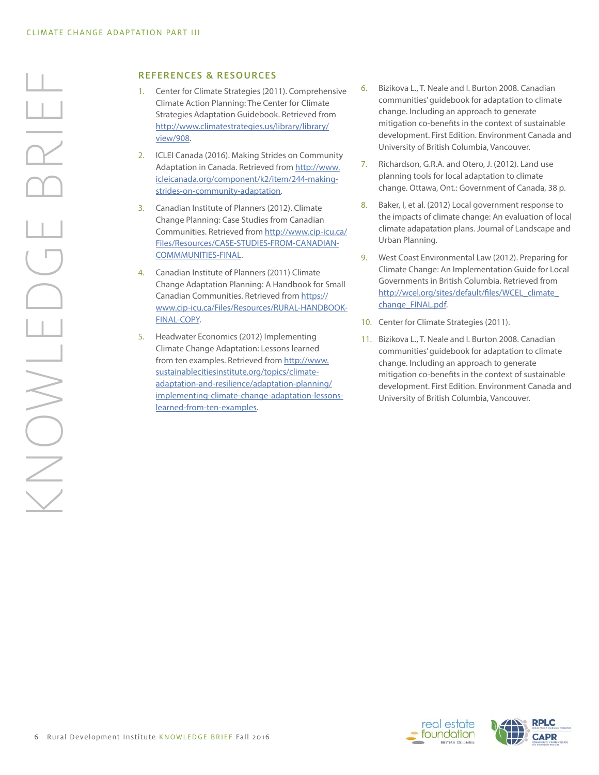#### REFERENCES & RESOURCES

- 1. Center for Climate Strategies (2011). Comprehensive Climate Action Planning: The Center for Climate Strategies Adaptation Guidebook. Retrieved from [http://www.climatestrategies.us/library/library/](http://www.climatestrategies.us/library/library/view/908) [view/908.](http://www.climatestrategies.us/library/library/view/908)
- 2. ICLEI Canada (2016). Making Strides on Community Adaptation in Canada. Retrieved from [http://www.](http://www.icleicanada.org/component/k2/item/244-making-strides-on-community-adaptation) [icleicanada.org/component/k2/item/244-making](http://www.icleicanada.org/component/k2/item/244-making-strides-on-community-adaptation)[strides-on-community-adaptation](http://www.icleicanada.org/component/k2/item/244-making-strides-on-community-adaptation).
- 3. Canadian Institute of Planners (2012). Climate Change Planning: Case Studies from Canadian Communities. Retrieved from [http://www.cip-icu.ca/](http://www.cip-icu.ca/Files/Resources/CASE-STUDIES-FROM-CANADIAN-COMMMUNITIES-FINAL) [Files/Resources/CASE-STUDIES-FROM-CANADIAN-](http://www.cip-icu.ca/Files/Resources/CASE-STUDIES-FROM-CANADIAN-COMMMUNITIES-FINAL)[COMMMUNITIES-FINAL.](http://www.cip-icu.ca/Files/Resources/CASE-STUDIES-FROM-CANADIAN-COMMMUNITIES-FINAL)
- 4. Canadian Institute of Planners (2011) Climate Change Adaptation Planning: A Handbook for Small Canadian Communities. Retrieved from [https://](https://www.cip-icu.ca/Files/Resources/RURAL-HANDBOOK-FINAL-COPY) [www.cip-icu.ca/Files/Resources/RURAL-HANDBOOK-](https://www.cip-icu.ca/Files/Resources/RURAL-HANDBOOK-FINAL-COPY)[FINAL-COPY.](https://www.cip-icu.ca/Files/Resources/RURAL-HANDBOOK-FINAL-COPY)
- 5. Headwater Economics (2012) Implementing Climate Change Adaptation: Lessons learned from ten examples. Retrieved from [http://www.](http://www.sustainablecitiesinstitute.org/topics/climate-adaptation-and-resilience/adaptation-planni) [sustainablecitiesinstitute.org/topics/climate](http://www.sustainablecitiesinstitute.org/topics/climate-adaptation-and-resilience/adaptation-planni)[adaptation-and-resilience/adaptation-planning/](http://www.sustainablecitiesinstitute.org/topics/climate-adaptation-and-resilience/adaptation-planni) [implementing-climate-change-adaptation-lessons](http://www.sustainablecitiesinstitute.org/topics/climate-adaptation-and-resilience/adaptation-planni)[learned-from-ten-examples](http://www.sustainablecitiesinstitute.org/topics/climate-adaptation-and-resilience/adaptation-planni).
- 6. Bizikova L., T. Neale and I. Burton 2008. Canadian communities' guidebook for adaptation to climate change. Including an approach to generate mitigation co-benefits in the context of sustainable development. First Edition. Environment Canada and University of British Columbia, Vancouver.
- 7. Richardson, G.R.A. and Otero, J. (2012). Land use planning tools for local adaptation to climate change. Ottawa, Ont.: Government of Canada, 38 p.
- 8. Baker, I, et al. (2012) Local government response to the impacts of climate change: An evaluation of local climate adapatation plans. Journal of Landscape and Urban Planning.
- 9. West Coast Environmental Law (2012). Preparing for Climate Change: An Implementation Guide for Local Governments in British Columbia. Retrieved from http://wcel.org/sites/default/files/WCEL\_climate [change\\_FINAL.pdf](http://wcel.org/sites/default/files/WCEL_climate_change_FINAL.pdf).
- 10. Center for Climate Strategies (2011).
- 11. Bizikova L., T. Neale and I. Burton 2008. Canadian communities' guidebook for adaptation to climate change. Including an approach to generate mitigation co-benefits in the context of sustainable development. First Edition. Environment Canada and University of British Columbia, Vancouver.

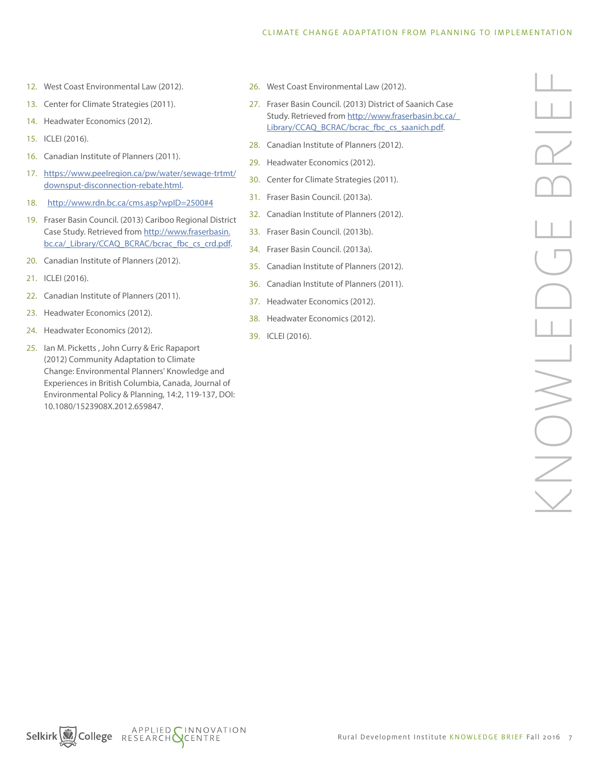- 12. West Coast Environmental Law (2012).
- 13. Center for Climate Strategies (2011).
- 14. Headwater Economics (2012).
- 15. ICLEI (2016).
- 16. Canadian Institute of Planners (2011).
- 17. [https://www.peelregion.ca/pw/water/sewage-trtmt/](https://www.peelregion.ca/pw/water/sewage-trtmt/downsput-disconnection-rebate.html) [downsput-disconnection-rebate.html.](https://www.peelregion.ca/pw/water/sewage-trtmt/downsput-disconnection-rebate.html)
- 18. <http://www.rdn.bc.ca/cms.asp?wpID=2500#4>
- 19. Fraser Basin Council. (2013) Cariboo Regional District Case Study. Retrieved from [http://www.fraserbasin.](http://www.fraserbasin.bc.ca/_Library/CCAQ_BCRAC/bcrac_fbc_cs_crd.pdf) [bc.ca/\\_Library/CCAQ\\_BCRAC/bcrac\\_fbc\\_cs\\_crd.pdf.](http://www.fraserbasin.bc.ca/_Library/CCAQ_BCRAC/bcrac_fbc_cs_crd.pdf)
- 20. Canadian Institute of Planners (2012).
- 21. ICLEI (2016).
- 22. Canadian Institute of Planners (2011).
- 23. Headwater Economics (2012).
- 24. Headwater Economics (2012).
- 25. Ian M. Picketts , John Curry & Eric Rapaport (2012) Community Adaptation to Climate Change: Environmental Planners' Knowledge and Experiences in British Columbia, Canada, Journal of Environmental Policy & Planning, 14:2, 119-137, DOI: 10.1080/1523908X.2012.659847.
- 26. West Coast Environmental Law (2012).
- 27. Fraser Basin Council. (2013) District of Saanich Case Study. Retrieved from [http://www.fraserbasin.bc.ca/\\_](http://www.fraserbasin.bc.ca/_Library/CCAQ_BCRAC/bcrac_fbc_cs_saanich.pdf) [Library/CCAQ\\_BCRAC/bcrac\\_fbc\\_cs\\_saanich.pdf](http://www.fraserbasin.bc.ca/_Library/CCAQ_BCRAC/bcrac_fbc_cs_saanich.pdf).
- 28. Canadian Institute of Planners (2012).
- 29. Headwater Economics (2012).
- 30. Center for Climate Strategies (2011).
- 31. Fraser Basin Council. (2013a).
- 32. Canadian Institute of Planners (2012).
- 33. Fraser Basin Council. (2013b).
- 34. Fraser Basin Council. (2013a).
- 35. Canadian Institute of Planners (2012).
- 36. Canadian Institute of Planners (2011).
- 37. Headwater Economics (2012).
- 38. Headwater Economics (2012).
- 39. ICLEI (2016).